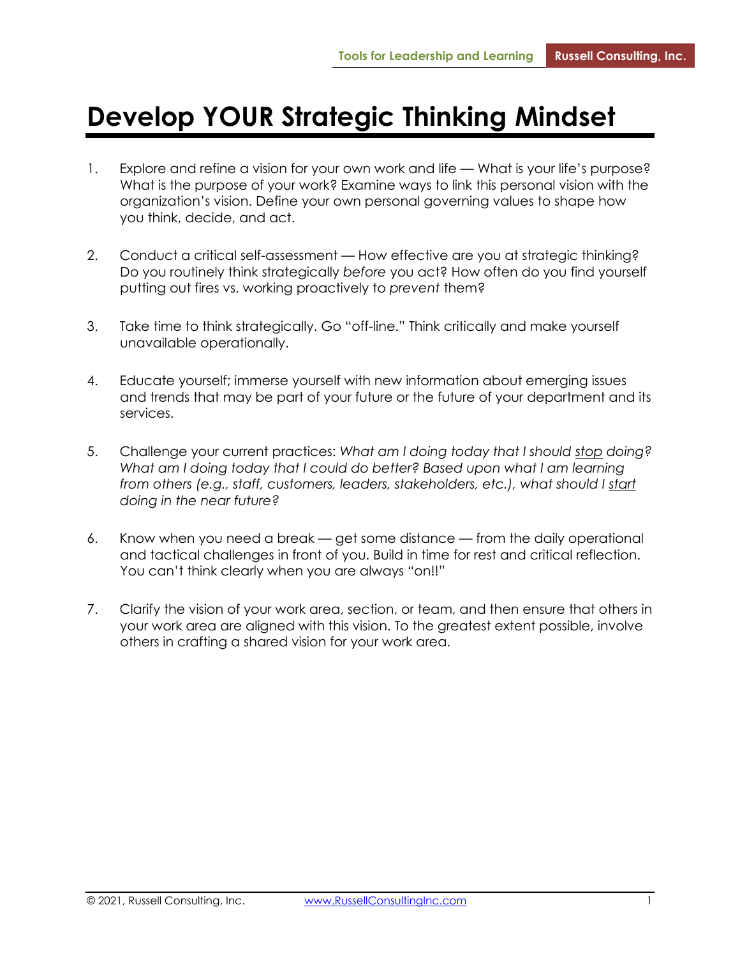## **Develop YOUR Strategic Thinking Mindset**

- 1. Explore and refine a vision for your own work and life What is your life's purpose? What is the purpose of your work? Examine ways to link this personal vision with the organization's vision. Define your own personal governing values to shape how you think, decide, and act.
- 2. Conduct a critical self-assessment How effective are you at strategic thinking? Do you routinely think strategically *before* you act? How often do you find yourself putting out fires vs. working proactively to *prevent* them?
- 3. Take time to think strategically. Go "off-line." Think critically and make yourself unavailable operationally.
- 4. Educate yourself; immerse yourself with new information about emerging issues and trends that may be part of your future or the future of your department and its services.
- 5. Challenge your current practices: *What am I doing today that I should stop doing? What am I doing today that I could do better? Based upon what I am learning from others (e.g., staff, customers, leaders, stakeholders, etc.), what should I start doing in the near future?*
- 6. Know when you need a break get some distance from the daily operational and tactical challenges in front of you. Build in time for rest and critical reflection. You can't think clearly when you are always "on!!"
- 7. Clarify the vision of your work area, section, or team, and then ensure that others in your work area are aligned with this vision. To the greatest extent possible, involve others in crafting a shared vision for your work area.